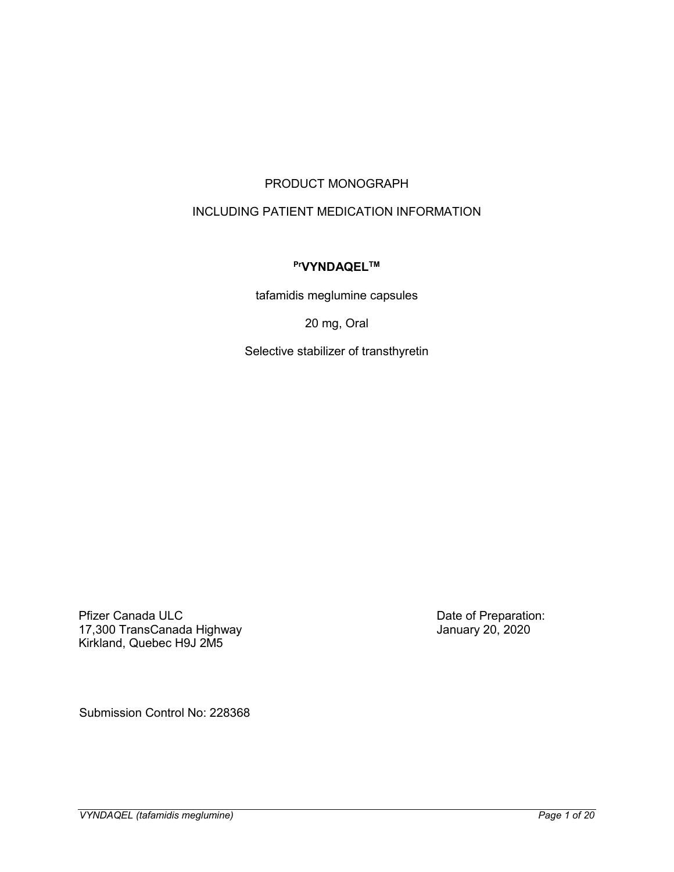# PRODUCT MONOGRAPH

# INCLUDING PATIENT MEDICATION INFORMATION

# **PrVYNDAQELTM**

tafamidis meglumine capsules

20 mg, Oral

Selective stabilizer of transthyretin

Pfizer Canada ULC 17,300 TransCanada Highway Kirkland, Quebec H9J 2M5

Date of Preparation: January 20, 2020

Submission Control No: 228368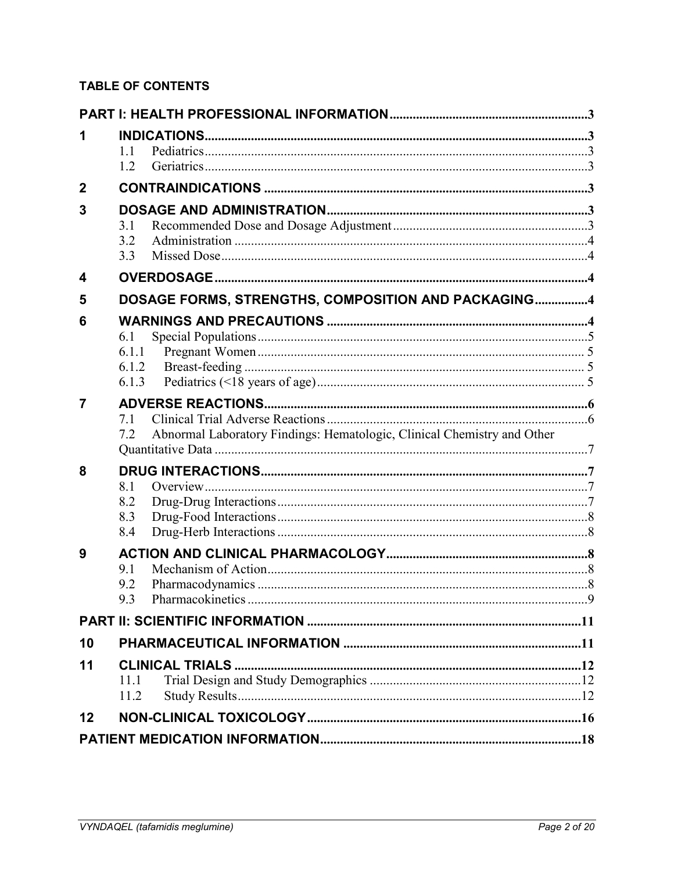# **TABLE OF CONTENTS**

| 1                | 11<br>1.2                      |                                                                         |  |
|------------------|--------------------------------|-------------------------------------------------------------------------|--|
| $\boldsymbol{2}$ |                                |                                                                         |  |
| 3                |                                |                                                                         |  |
|                  | 3.1<br>3.2<br>3.3              |                                                                         |  |
| 4                |                                |                                                                         |  |
| 5                |                                | DOSAGE FORMS, STRENGTHS, COMPOSITION AND PACKAGING4                     |  |
| 6                | 6.1<br>6.1.1<br>6.1.2<br>6.1.3 |                                                                         |  |
| 7                | 7.1<br>7.2                     | Abnormal Laboratory Findings: Hematologic, Clinical Chemistry and Other |  |
| 8                |                                |                                                                         |  |
|                  | 8.1<br>8.2                     |                                                                         |  |
|                  | 8.3<br>8.4                     |                                                                         |  |
| 9                |                                |                                                                         |  |
|                  | 9.1<br>9.2                     |                                                                         |  |
|                  | 9.3                            |                                                                         |  |
|                  |                                |                                                                         |  |
| 10               |                                |                                                                         |  |
| 11               |                                | <b>CLINICAL TRIALS</b>                                                  |  |
|                  | 11.1<br>11.2                   |                                                                         |  |
| 12               |                                |                                                                         |  |
|                  |                                |                                                                         |  |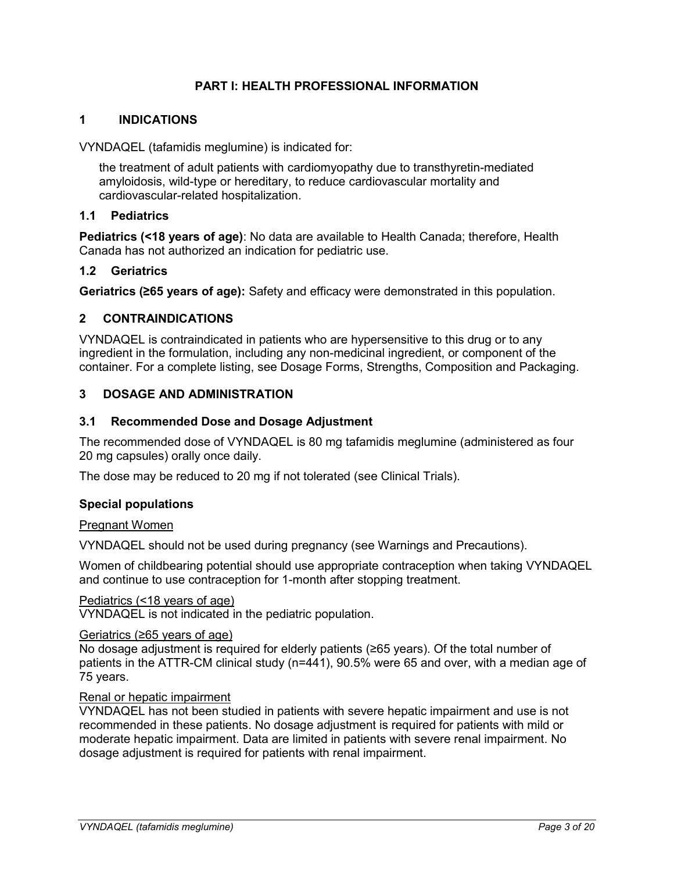# **PART I: HEALTH PROFESSIONAL INFORMATION**

#### <span id="page-2-1"></span><span id="page-2-0"></span>**1 INDICATIONS**

VYNDAQEL (tafamidis meglumine) is indicated for:

the treatment of adult patients with cardiomyopathy due to transthyretin-mediated amyloidosis, wild-type or hereditary, to reduce cardiovascular mortality and cardiovascular-related hospitalization.

#### <span id="page-2-2"></span>**1.1 Pediatrics**

**Pediatrics (<18 years of age)**: No data are available to Health Canada; therefore, Health Canada has not authorized an indication for pediatric use.

#### <span id="page-2-3"></span>**1.2 Geriatrics**

**Geriatrics (≥65 years of age):** Safety and efficacy were demonstrated in this population.

## <span id="page-2-4"></span>**2 CONTRAINDICATIONS**

VYNDAQEL is contraindicated in patients who are hypersensitive to this drug or to any ingredient in the formulation, including any non-medicinal ingredient, or component of the container. For a complete listing, see Dosage Forms, Strengths, Composition and Packaging.

# <span id="page-2-5"></span>**3 DOSAGE AND ADMINISTRATION**

#### <span id="page-2-6"></span>**3.1 Recommended Dose and Dosage Adjustment**

The recommended dose of VYNDAQEL is 80 mg tafamidis meglumine (administered as four 20 mg capsules) orally once daily.

The dose may be reduced to 20 mg if not tolerated (see Clinical Trials).

#### **Special populations**

#### Pregnant Women

VYNDAQEL should not be used during pregnancy (see Warnings and Precautions).

Women of childbearing potential should use appropriate contraception when taking VYNDAQEL and continue to use contraception for 1-month after stopping treatment.

#### Pediatrics (<18 years of age)

VYNDAQEL is not indicated in the pediatric population.

#### Geriatrics (≥65 years of age)

No dosage adjustment is required for elderly patients (≥65 years). Of the total number of patients in the ATTR-CM clinical study (n=441), 90.5% were 65 and over, with a median age of 75 years.

#### Renal or hepatic impairment

VYNDAQEL has not been studied in patients with severe hepatic impairment and use is not recommended in these patients. No dosage adjustment is required for patients with mild or moderate hepatic impairment. Data are limited in patients with severe renal impairment. No dosage adjustment is required for patients with renal impairment.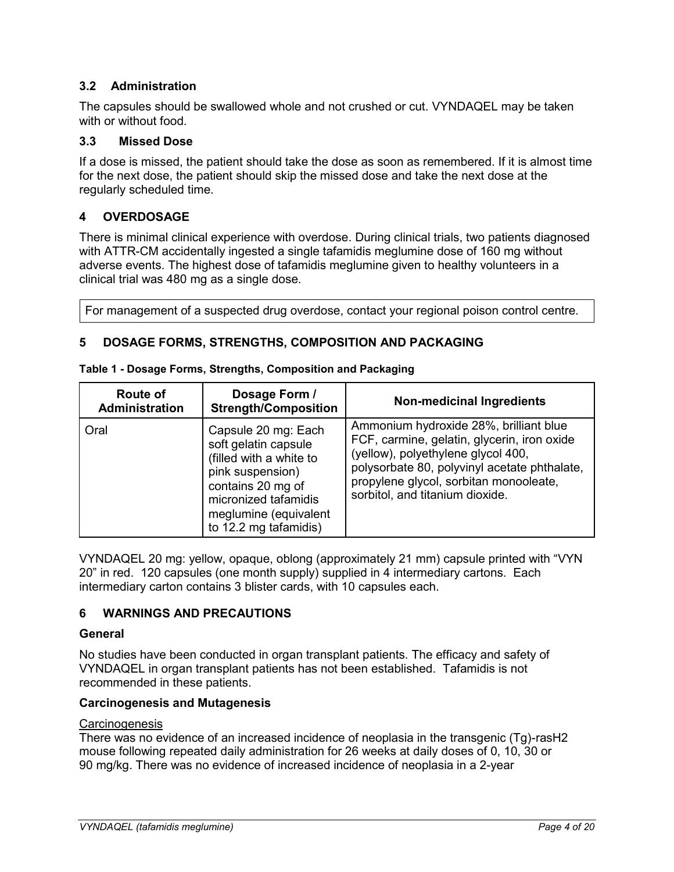# <span id="page-3-0"></span>**3.2 Administration**

The capsules should be swallowed whole and not crushed or cut. VYNDAQEL may be taken with or without food.

# <span id="page-3-1"></span>**3.3 Missed Dose**

If a dose is missed, the patient should take the dose as soon as remembered. If it is almost time for the next dose, the patient should skip the missed dose and take the next dose at the regularly scheduled time.

# <span id="page-3-2"></span>**4 OVERDOSAGE**

There is minimal clinical experience with overdose. During clinical trials, two patients diagnosed with ATTR-CM accidentally ingested a single tafamidis meglumine dose of 160 mg without adverse events. The highest dose of tafamidis meglumine given to healthy volunteers in a clinical trial was 480 mg as a single dose.

For management of a suspected drug overdose, contact your regional poison control centre.

# <span id="page-3-3"></span>**5 DOSAGE FORMS, STRENGTHS, COMPOSITION AND PACKAGING**

| Route of<br><b>Administration</b> | Dosage Form /<br><b>Strength/Composition</b>                                                                                                                                              | <b>Non-medicinal Ingredients</b>                                                                                                                                                                                                                         |
|-----------------------------------|-------------------------------------------------------------------------------------------------------------------------------------------------------------------------------------------|----------------------------------------------------------------------------------------------------------------------------------------------------------------------------------------------------------------------------------------------------------|
| Oral                              | Capsule 20 mg: Each<br>soft gelatin capsule<br>(filled with a white to<br>pink suspension)<br>contains 20 mg of<br>micronized tafamidis<br>meglumine (equivalent<br>to 12.2 mg tafamidis) | Ammonium hydroxide 28%, brilliant blue<br>FCF, carmine, gelatin, glycerin, iron oxide<br>(yellow), polyethylene glycol 400,<br>polysorbate 80, polyvinyl acetate phthalate,<br>propylene glycol, sorbitan monooleate,<br>sorbitol, and titanium dioxide. |

VYNDAQEL 20 mg: yellow, opaque, oblong (approximately 21 mm) capsule printed with "VYN 20" in red. 120 capsules (one month supply) supplied in 4 intermediary cartons. Each intermediary carton contains 3 blister cards, with 10 capsules each.

# <span id="page-3-4"></span>**6 WARNINGS AND PRECAUTIONS**

## **General**

No studies have been conducted in organ transplant patients. The efficacy and safety of VYNDAQEL in organ transplant patients has not been established. Tafamidis is not recommended in these patients.

## **Carcinogenesis and Mutagenesis**

## Carcinogenesis

There was no evidence of an increased incidence of neoplasia in the transgenic (Tg)-rasH2 mouse following repeated daily administration for 26 weeks at daily doses of 0, 10, 30 or 90 mg/kg. There was no evidence of increased incidence of neoplasia in a 2-year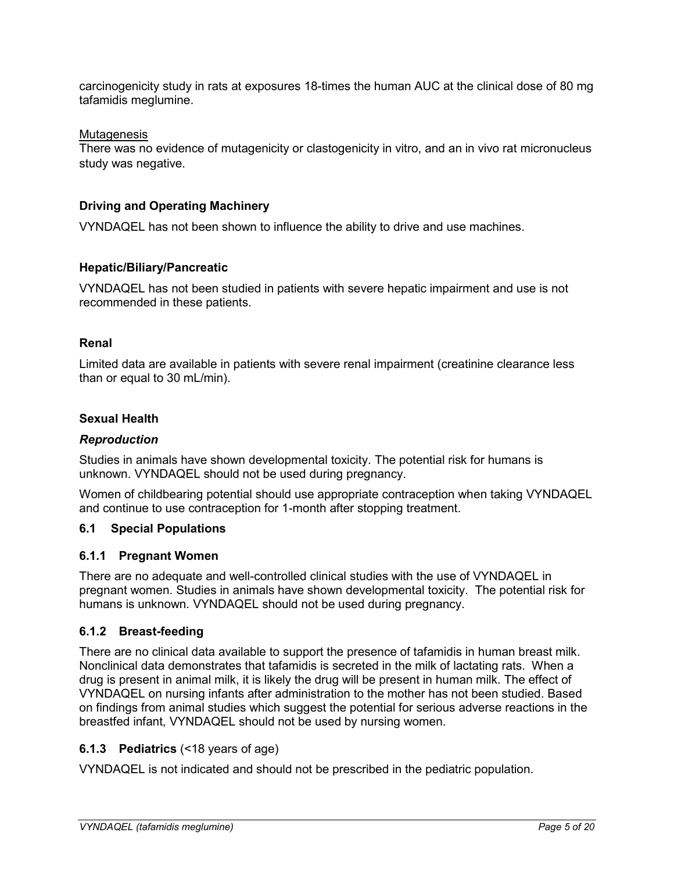carcinogenicity study in rats at exposures 18-times the human AUC at the clinical dose of 80 mg tafamidis meglumine.

#### Mutagenesis

There was no evidence of mutagenicity or clastogenicity in vitro, and an in vivo rat micronucleus study was negative.

# **Driving and Operating Machinery**

VYNDAQEL has not been shown to influence the ability to drive and use machines.

## **Hepatic/Biliary/Pancreatic**

VYNDAQEL has not been studied in patients with severe hepatic impairment and use is not recommended in these patients.

#### **Renal**

Limited data are available in patients with severe renal impairment (creatinine clearance less than or equal to 30 mL/min).

#### **Sexual Health**

#### *Reproduction*

Studies in animals have shown developmental toxicity. The potential risk for humans is unknown. VYNDAQEL should not be used during pregnancy.

Women of childbearing potential should use appropriate contraception when taking VYNDAQEL and continue to use contraception for 1-month after stopping treatment.

# <span id="page-4-0"></span>**6.1 Special Populations**

## <span id="page-4-1"></span>**6.1.1 Pregnant Women**

There are no adequate and well-controlled clinical studies with the use of VYNDAQEL in pregnant women. Studies in animals have shown developmental toxicity. The potential risk for humans is unknown. VYNDAQEL should not be used during pregnancy.

## <span id="page-4-2"></span>**6.1.2 Breast-feeding**

There are no clinical data available to support the presence of tafamidis in human breast milk. Nonclinical data demonstrates that tafamidis is secreted in the milk of lactating rats. When a drug is present in animal milk, it is likely the drug will be present in human milk. The effect of VYNDAQEL on nursing infants after administration to the mother has not been studied. Based on findings from animal studies which suggest the potential for serious adverse reactions in the breastfed infant, VYNDAQEL should not be used by nursing women.

## <span id="page-4-3"></span>**6.1.3 Pediatrics** (<18 years of age)

VYNDAQEL is not indicated and should not be prescribed in the pediatric population.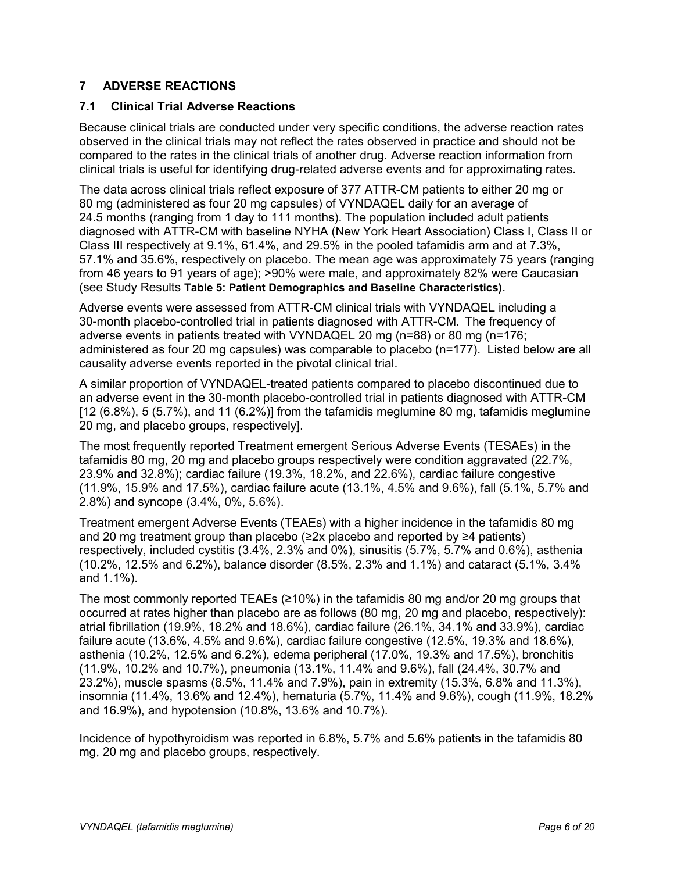# <span id="page-5-0"></span>**7 ADVERSE REACTIONS**

# <span id="page-5-1"></span>**7.1 Clinical Trial Adverse Reactions**

Because clinical trials are conducted under very specific conditions, the adverse reaction rates observed in the clinical trials may not reflect the rates observed in practice and should not be compared to the rates in the clinical trials of another drug. Adverse reaction information from clinical trials is useful for identifying drug-related adverse events and for approximating rates.

The data across clinical trials reflect exposure of 377 ATTR-CM patients to either 20 mg or 80 mg (administered as four 20 mg capsules) of VYNDAQEL daily for an average of 24.5 months (ranging from 1 day to 111 months). The population included adult patients diagnosed with ATTR-CM with baseline NYHA (New York Heart Association) Class I, Class II or Class III respectively at 9.1%, 61.4%, and 29.5% in the pooled tafamidis arm and at 7.3%, 57.1% and 35.6%, respectively on placebo. The mean age was approximately 75 years (ranging from 46 years to 91 years of age); >90% were male, and approximately 82% were Caucasian (see Study Results **Table 5: Patient Demographics and Baseline Characteristics)**.

Adverse events were assessed from ATTR-CM clinical trials with VYNDAQEL including a 30-month placebo-controlled trial in patients diagnosed with ATTR-CM. The frequency of adverse events in patients treated with VYNDAQEL 20 mg (n=88) or 80 mg (n=176; administered as four 20 mg capsules) was comparable to placebo (n=177). Listed below are all causality adverse events reported in the pivotal clinical trial.

A similar proportion of VYNDAQEL-treated patients compared to placebo discontinued due to an adverse event in the 30-month placebo-controlled trial in patients diagnosed with ATTR-CM  $[12 (6.8\%), 5 (5.7\%)$ , and 11 (6.2%)] from the tafamidis meglumine 80 mg, tafamidis meglumine 20 mg, and placebo groups, respectively].

The most frequently reported Treatment emergent Serious Adverse Events (TESAEs) in the tafamidis 80 mg, 20 mg and placebo groups respectively were condition aggravated (22.7%, 23.9% and 32.8%); cardiac failure (19.3%, 18.2%, and 22.6%), cardiac failure congestive (11.9%, 15.9% and 17.5%), cardiac failure acute (13.1%, 4.5% and 9.6%), fall (5.1%, 5.7% and 2.8%) and syncope (3.4%, 0%, 5.6%).

Treatment emergent Adverse Events (TEAEs) with a higher incidence in the tafamidis 80 mg and 20 mg treatment group than placebo (≥2x placebo and reported by ≥4 patients) respectively, included cystitis (3.4%, 2.3% and 0%), sinusitis (5.7%, 5.7% and 0.6%), asthenia (10.2%, 12.5% and 6.2%), balance disorder (8.5%, 2.3% and 1.1%) and cataract (5.1%, 3.4% and 1.1%).

The most commonly reported TEAEs ( $\geq 10\%$ ) in the tafamidis 80 mg and/or 20 mg groups that occurred at rates higher than placebo are as follows (80 mg, 20 mg and placebo, respectively): atrial fibrillation (19.9%, 18.2% and 18.6%), cardiac failure (26.1%, 34.1% and 33.9%), cardiac failure acute (13.6%, 4.5% and 9.6%), cardiac failure congestive (12.5%, 19.3% and 18.6%), asthenia (10.2%, 12.5% and 6.2%), edema peripheral (17.0%, 19.3% and 17.5%), bronchitis (11.9%, 10.2% and 10.7%), pneumonia (13.1%, 11.4% and 9.6%), fall (24.4%, 30.7% and 23.2%), muscle spasms (8.5%, 11.4% and 7.9%), pain in extremity (15.3%, 6.8% and 11.3%), insomnia (11.4%, 13.6% and 12.4%), hematuria (5.7%, 11.4% and 9.6%), cough (11.9%, 18.2% and 16.9%), and hypotension (10.8%, 13.6% and 10.7%).

Incidence of hypothyroidism was reported in 6.8%, 5.7% and 5.6% patients in the tafamidis 80 mg, 20 mg and placebo groups, respectively.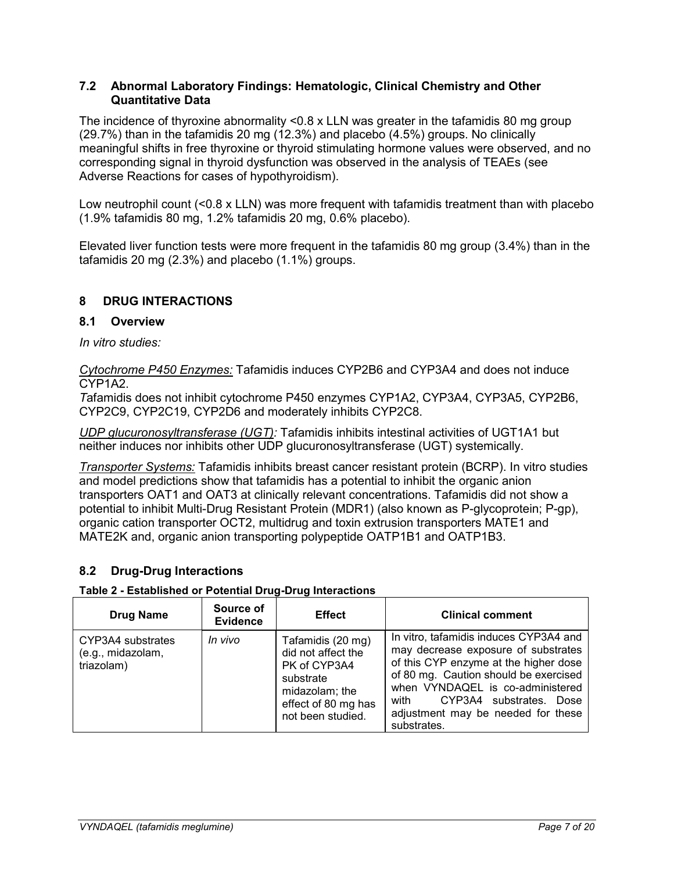## <span id="page-6-0"></span>**7.2 Abnormal Laboratory Findings: Hematologic, Clinical Chemistry and Other Quantitative Data**

The incidence of thyroxine abnormality <0.8 x LLN was greater in the tafamidis 80 mg group (29.7%) than in the tafamidis 20 mg (12.3%) and placebo (4.5%) groups. No clinically meaningful shifts in free thyroxine or thyroid stimulating hormone values were observed, and no corresponding signal in thyroid dysfunction was observed in the analysis of TEAEs (see Adverse Reactions for cases of hypothyroidism).

Low neutrophil count (<0.8 x LLN) was more frequent with tafamidis treatment than with placebo (1.9% tafamidis 80 mg, 1.2% tafamidis 20 mg, 0.6% placebo).

Elevated liver function tests were more frequent in the tafamidis 80 mg group (3.4%) than in the tafamidis 20 mg (2.3%) and placebo (1.1%) groups.

# <span id="page-6-1"></span>**8 DRUG INTERACTIONS**

# <span id="page-6-2"></span>**8.1 Overview**

*In vitro studies:*

*Cytochrome P450 Enzymes:* Tafamidis induces CYP2B6 and CYP3A4 and does not induce CYP1A2.

*T*afamidis does not inhibit cytochrome P450 enzymes CYP1A2, CYP3A4, CYP3A5, CYP2B6, CYP2C9, CYP2C19, CYP2D6 and moderately inhibits CYP2C8.

*UDP glucuronosyltransferase (UGT):* Tafamidis inhibits intestinal activities of UGT1A1 but neither induces nor inhibits other UDP glucuronosyltransferase (UGT) systemically.

*Transporter Systems:* Tafamidis inhibits breast cancer resistant protein (BCRP). In vitro studies and model predictions show that tafamidis has a potential to inhibit the organic anion transporters OAT1 and OAT3 at clinically relevant concentrations. Tafamidis did not show a potential to inhibit Multi-Drug Resistant Protein (MDR1) (also known as P-glycoprotein; P-gp), organic cation transporter OCT2, multidrug and toxin extrusion transporters MATE1 and MATE2K and, organic anion transporting polypeptide OATP1B1 and OATP1B3.

# <span id="page-6-3"></span>**8.2 Drug-Drug Interactions**

## **Table 2 - Established or Potential Drug-Drug Interactions**

| <b>Drug Name</b>                                     | Source of<br><b>Evidence</b> | <b>Effect</b>                                                                                                                      | <b>Clinical comment</b>                                                                                                                                                                                                                                                                     |
|------------------------------------------------------|------------------------------|------------------------------------------------------------------------------------------------------------------------------------|---------------------------------------------------------------------------------------------------------------------------------------------------------------------------------------------------------------------------------------------------------------------------------------------|
| CYP3A4 substrates<br>(e.g., midazolam,<br>triazolam) | In vivo                      | Tafamidis (20 mg)<br>did not affect the<br>PK of CYP3A4<br>substrate<br>midazolam; the<br>effect of 80 mg has<br>not been studied. | In vitro, tafamidis induces CYP3A4 and<br>may decrease exposure of substrates<br>of this CYP enzyme at the higher dose<br>of 80 mg. Caution should be exercised<br>when VYNDAQEL is co-administered<br>CYP3A4 substrates. Dose<br>with<br>adjustment may be needed for these<br>substrates. |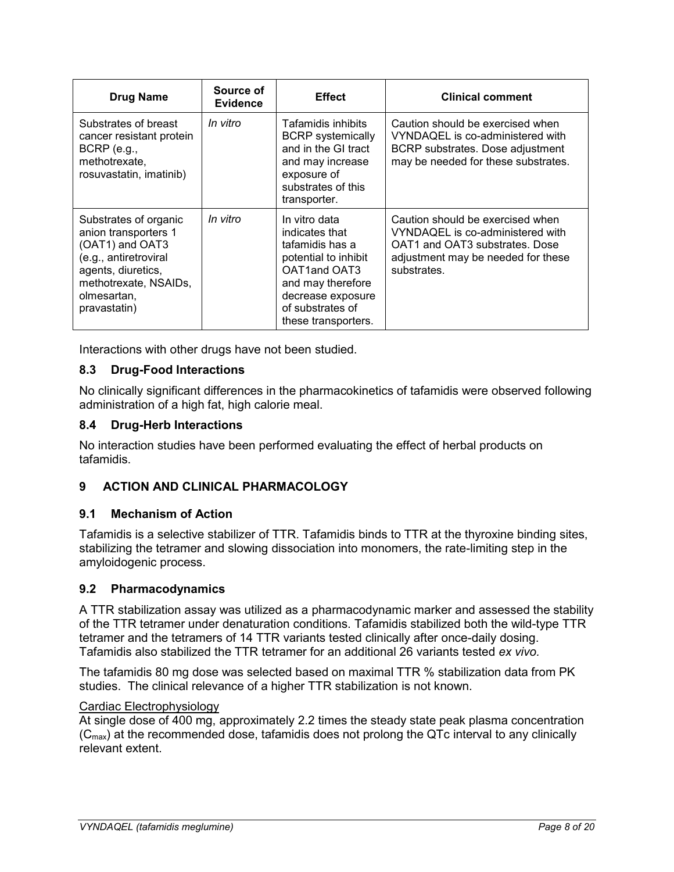| <b>Drug Name</b>                                                                                                                                                        | Source of<br><b>Evidence</b> | <b>Effect</b>                                                                                                                                                                   | <b>Clinical comment</b>                                                                                                                                     |
|-------------------------------------------------------------------------------------------------------------------------------------------------------------------------|------------------------------|---------------------------------------------------------------------------------------------------------------------------------------------------------------------------------|-------------------------------------------------------------------------------------------------------------------------------------------------------------|
| Substrates of breast<br>cancer resistant protein<br>$BCRP$ (e.g.,<br>methotrexate,<br>rosuvastatin, imatinib)                                                           | In vitro                     | Tafamidis inhibits<br><b>BCRP</b> systemically<br>and in the GI tract<br>and may increase<br>exposure of<br>substrates of this<br>transporter.                                  | Caution should be exercised when<br>VYNDAQEL is co-administered with<br>BCRP substrates. Dose adjustment<br>may be needed for these substrates.             |
| Substrates of organic<br>anion transporters 1<br>(OAT1) and OAT3<br>(e.g., antiretroviral<br>agents, diuretics,<br>methotrexate, NSAIDs,<br>olmesartan,<br>pravastatin) | In vitro                     | In vitro data<br>indicates that<br>tafamidis has a<br>potential to inhibit<br>OAT1and OAT3<br>and may therefore<br>decrease exposure<br>of substrates of<br>these transporters. | Caution should be exercised when<br>VYNDAQEL is co-administered with<br>OAT1 and OAT3 substrates. Dose<br>adjustment may be needed for these<br>substrates. |

Interactions with other drugs have not been studied.

# <span id="page-7-0"></span>**8.3 Drug-Food Interactions**

No clinically significant differences in the pharmacokinetics of tafamidis were observed following administration of a high fat, high calorie meal.

# <span id="page-7-1"></span>**8.4 Drug-Herb Interactions**

No interaction studies have been performed evaluating the effect of herbal products on tafamidis.

# <span id="page-7-2"></span>**9 ACTION AND CLINICAL PHARMACOLOGY**

## <span id="page-7-3"></span>**9.1 Mechanism of Action**

Tafamidis is a selective stabilizer of TTR. Tafamidis binds to TTR at the thyroxine binding sites, stabilizing the tetramer and slowing dissociation into monomers, the rate-limiting step in the amyloidogenic process.

## <span id="page-7-4"></span>**9.2 Pharmacodynamics**

A TTR stabilization assay was utilized as a pharmacodynamic marker and assessed the stability of the TTR tetramer under denaturation conditions. Tafamidis stabilized both the wild-type TTR tetramer and the tetramers of 14 TTR variants tested clinically after once-daily dosing. Tafamidis also stabilized the TTR tetramer for an additional 26 variants tested *ex vivo.*

The tafamidis 80 mg dose was selected based on maximal TTR % stabilization data from PK studies. The clinical relevance of a higher TTR stabilization is not known.

## Cardiac Electrophysiology

At single dose of 400 mg, approximately 2.2 times the steady state peak plasma concentration  $(C_{\text{max}})$  at the recommended dose, tafamidis does not prolong the QTc interval to any clinically relevant extent.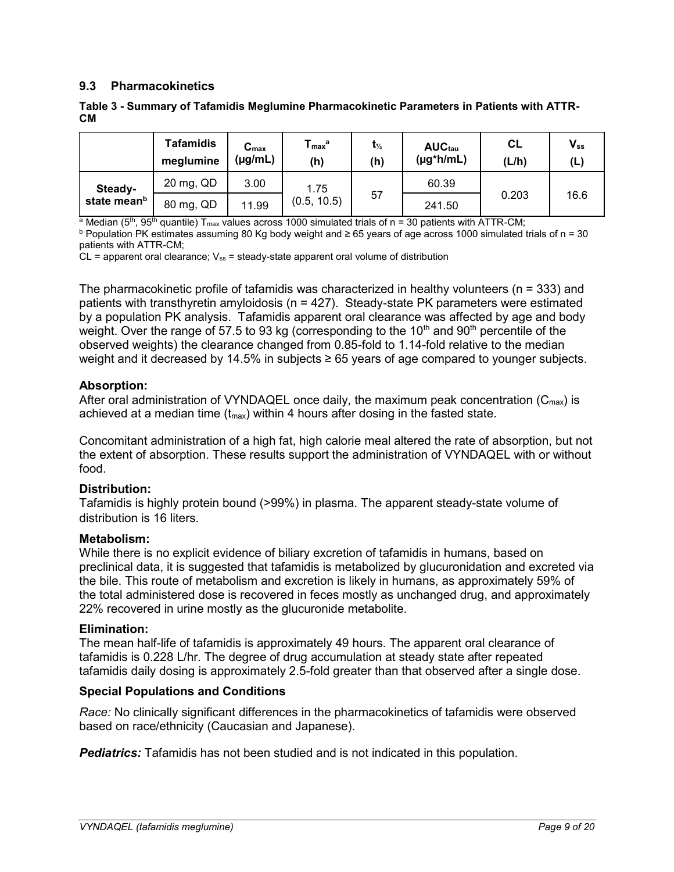# <span id="page-8-0"></span>**9.3 Pharmacokinetics**

|                         | <b>Tafamidis</b><br>meglumine | $C_{\text{max}}$<br>(µg/mL) | ${\mathsf T}_{\mathsf{max}}{}^{\mathsf a}$<br>(h) | $t_{\frac{1}{2}}$<br>(h) | AUC <sub>tau</sub><br>$(\mu g^*h/mL)$ | <b>CL</b><br>(L/h) | $V_{ss}$<br>(L) |
|-------------------------|-------------------------------|-----------------------------|---------------------------------------------------|--------------------------|---------------------------------------|--------------------|-----------------|
| Steady-                 | 20 mg, QD                     | 3.00                        | 1.75<br>(0.5, 10.5)                               |                          | 60.39                                 |                    |                 |
| state mean <sup>b</sup> | 80 mg, QD                     | 11.99                       |                                                   | 57                       | 241.50                                | 0.203              | 16.6            |

#### **Table 3 - Summary of Tafamidis Meglumine Pharmacokinetic Parameters in Patients with ATTR-CM**

<sup>a</sup> Median (5<sup>th</sup>, 95<sup>th</sup> quantile) T<sub>max</sub> values across 1000 simulated trials of n = 30 patients with ATTR-CM;

<sup>b</sup> Population PK estimates assuming 80 Kg body weight and ≥ 65 years of age across 1000 simulated trials of n = 30 patients with ATTR-CM;

 $CL$  = apparent oral clearance;  $V_{ss}$  = steady-state apparent oral volume of distribution

The pharmacokinetic profile of tafamidis was characterized in healthy volunteers ( $n = 333$ ) and patients with transthyretin amyloidosis (n = 427). Steady-state PK parameters were estimated by a population PK analysis. Tafamidis apparent oral clearance was affected by age and body weight. Over the range of 57.5 to 93 kg (corresponding to the 10<sup>th</sup> and 90<sup>th</sup> percentile of the observed weights) the clearance changed from 0.85-fold to 1.14-fold relative to the median weight and it decreased by 14.5% in subjects ≥ 65 years of age compared to younger subjects.

## **Absorption:**

After oral administration of VYNDAQEL once daily, the maximum peak concentration  $(C_{max})$  is achieved at a median time  $(t_{\text{max}})$  within 4 hours after dosing in the fasted state.

Concomitant administration of a high fat, high calorie meal altered the rate of absorption, but not the extent of absorption. These results support the administration of VYNDAQEL with or without food.

## **Distribution:**

Tafamidis is highly protein bound (>99%) in plasma. The apparent steady-state volume of distribution is 16 liters.

## **Metabolism:**

While there is no explicit evidence of biliary excretion of tafamidis in humans, based on preclinical data, it is suggested that tafamidis is metabolized by glucuronidation and excreted via the bile. This route of metabolism and excretion is likely in humans, as approximately 59% of the total administered dose is recovered in feces mostly as unchanged drug, and approximately 22% recovered in urine mostly as the glucuronide metabolite.

## **Elimination:**

The mean half-life of tafamidis is approximately 49 hours. The apparent oral clearance of tafamidis is 0.228 L/hr. The degree of drug accumulation at steady state after repeated tafamidis daily dosing is approximately 2.5-fold greater than that observed after a single dose.

## **Special Populations and Conditions**

*Race:* No clinically significant differences in the pharmacokinetics of tafamidis were observed based on race/ethnicity (Caucasian and Japanese).

*Pediatrics:* Tafamidis has not been studied and is not indicated in this population.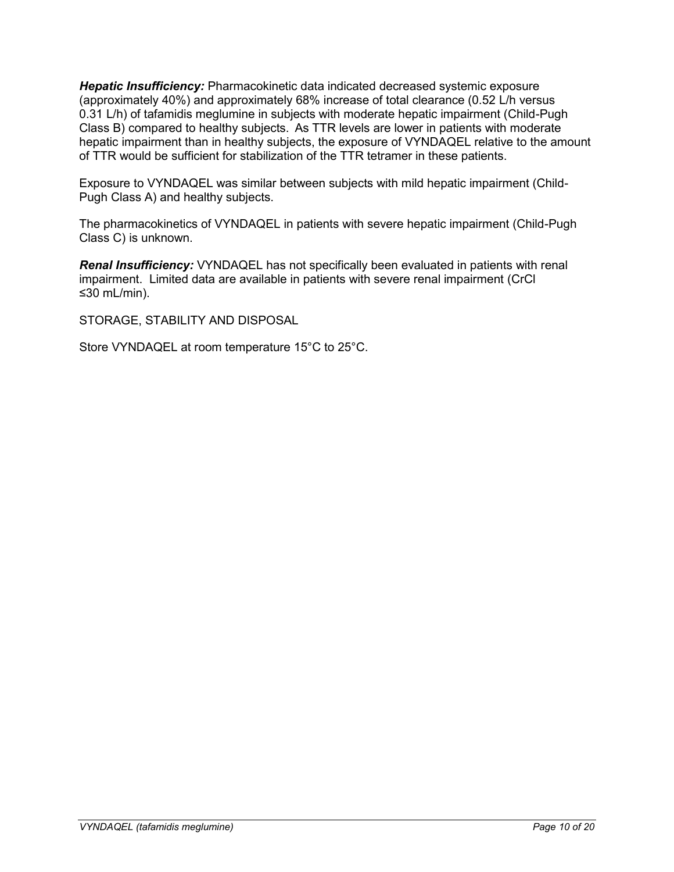*Hepatic Insufficiency:* Pharmacokinetic data indicated decreased systemic exposure (approximately 40%) and approximately 68% increase of total clearance (0.52 L/h versus 0.31 L/h) of tafamidis meglumine in subjects with moderate hepatic impairment (Child-Pugh Class B) compared to healthy subjects. As TTR levels are lower in patients with moderate hepatic impairment than in healthy subjects, the exposure of VYNDAQEL relative to the amount of TTR would be sufficient for stabilization of the TTR tetramer in these patients.

Exposure to VYNDAQEL was similar between subjects with mild hepatic impairment (Child-Pugh Class A) and healthy subjects.

The pharmacokinetics of VYNDAQEL in patients with severe hepatic impairment (Child-Pugh Class C) is unknown.

*Renal Insufficiency:* VYNDAQEL has not specifically been evaluated in patients with renal impairment. Limited data are available in patients with severe renal impairment (CrCl ≤30 mL/min).

STORAGE, STABILITY AND DISPOSAL

Store VYNDAQEL at room temperature 15°C to 25°C.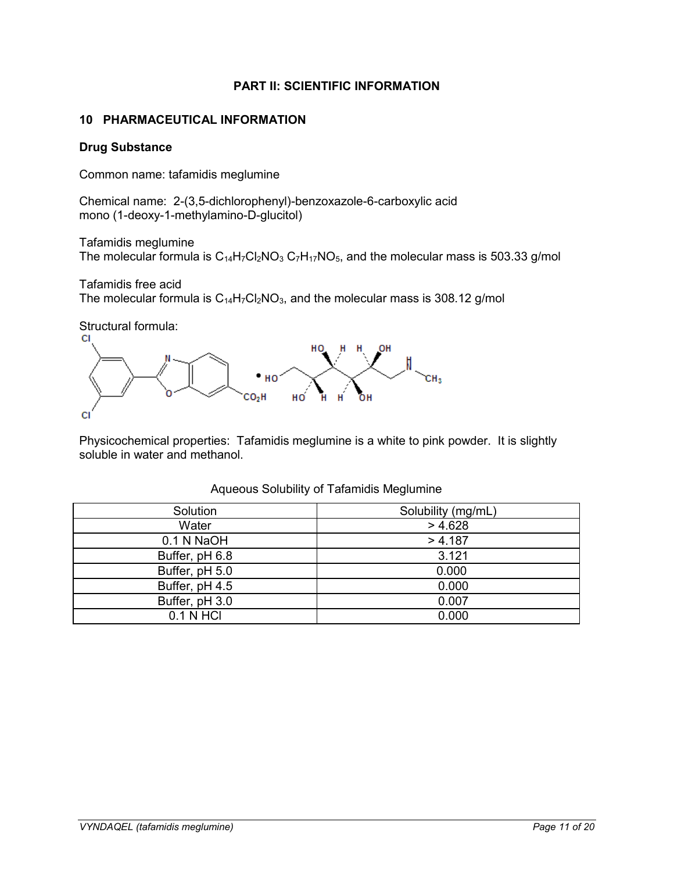# **PART II: SCIENTIFIC INFORMATION**

# <span id="page-10-1"></span><span id="page-10-0"></span>**10 PHARMACEUTICAL INFORMATION**

## **Drug Substance**

Common name: tafamidis meglumine

Chemical name: 2-(3,5-dichlorophenyl)-benzoxazole-6-carboxylic acid mono (1-deoxy-1-methylamino-D-glucitol)

Tafamidis meglumine

The molecular formula is  $C_{14}H_7Cl_2NO_3 C_7H_{17}NO_5$ , and the molecular mass is 503.33 g/mol

Tafamidis free acid The molecular formula is  $C_{14}H_7Cl_2NO_3$ , and the molecular mass is 308.12 g/mol





Physicochemical properties: Tafamidis meglumine is a white to pink powder. It is slightly soluble in water and methanol.

| Solubility (mg/mL) |
|--------------------|
| > 4.628            |
| > 4.187            |
| 3.121              |
| 0.000              |
| 0.000              |
| 0.007              |
| 0.000              |
|                    |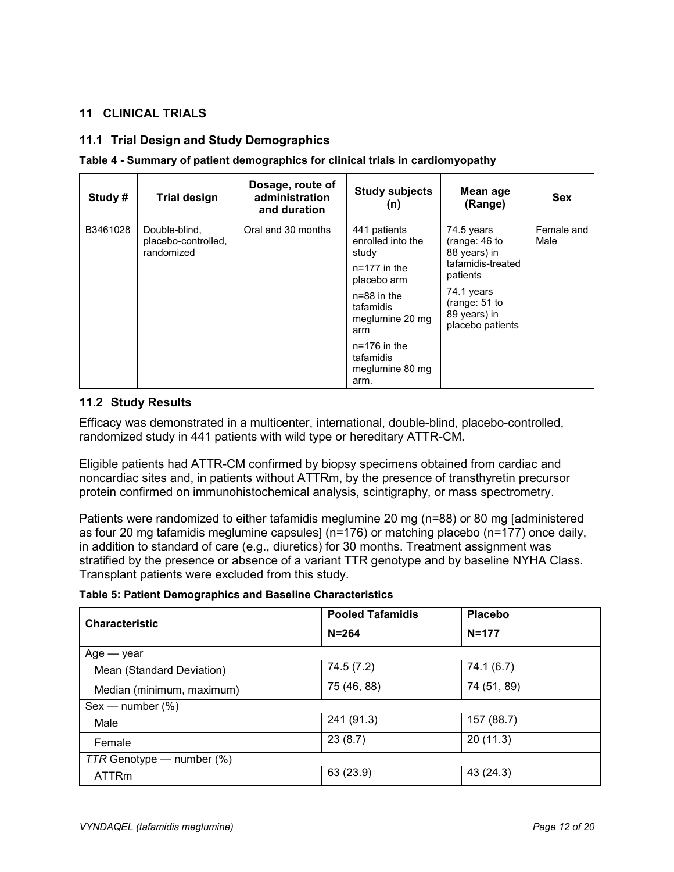# <span id="page-11-0"></span>**11 CLINICAL TRIALS**

# <span id="page-11-1"></span>**11.1 Trial Design and Study Demographics**

#### **Table 4 - Summary of patient demographics for clinical trials in cardiomyopathy**

| Study#   | <b>Trial design</b>                                | Dosage, route of<br>administration<br>and duration | <b>Study subjects</b><br>(n)                                        | Mean age<br>(Range)                                                            | <b>Sex</b>         |
|----------|----------------------------------------------------|----------------------------------------------------|---------------------------------------------------------------------|--------------------------------------------------------------------------------|--------------------|
| B3461028 | Double-blind,<br>placebo-controlled,<br>randomized | Oral and 30 months                                 | 441 patients<br>enrolled into the<br>study<br>$n=177$ in the        | 74.5 years<br>(range: $46$ to<br>88 years) in<br>tafamidis-treated<br>patients | Female and<br>Male |
|          |                                                    |                                                    | placebo arm<br>$n=88$ in the<br>tafamidis<br>meglumine 20 mg<br>arm | 74.1 years<br>(range: $51$ to<br>89 years) in<br>placebo patients              |                    |
|          |                                                    |                                                    | $n=176$ in the<br>tafamidis<br>meglumine 80 mg<br>arm.              |                                                                                |                    |

## <span id="page-11-2"></span>**11.2 Study Results**

Efficacy was demonstrated in a multicenter, international, double-blind, placebo-controlled, randomized study in 441 patients with wild type or hereditary ATTR-CM.

Eligible patients had ATTR-CM confirmed by biopsy specimens obtained from cardiac and noncardiac sites and, in patients without ATTRm, by the presence of transthyretin precursor protein confirmed on immunohistochemical analysis, scintigraphy, or mass spectrometry.

Patients were randomized to either tafamidis meglumine 20 mg (n=88) or 80 mg [administered as four 20 mg tafamidis meglumine capsules] (n=176) or matching placebo (n=177) once daily, in addition to standard of care (e.g., diuretics) for 30 months. Treatment assignment was stratified by the presence or absence of a variant TTR genotype and by baseline NYHA Class. Transplant patients were excluded from this study.

|  | <b>Table 5: Patient Demographics and Baseline Characteristics</b> |  |  |
|--|-------------------------------------------------------------------|--|--|
|--|-------------------------------------------------------------------|--|--|

| <b>Characteristic</b>          | <b>Pooled Tafamidis</b> | <b>Placebo</b> |  |  |  |  |
|--------------------------------|-------------------------|----------------|--|--|--|--|
|                                | $N = 264$               | $N = 177$      |  |  |  |  |
| $Age - year$                   |                         |                |  |  |  |  |
| Mean (Standard Deviation)      | 74.5 (7.2)              | 74.1 (6.7)     |  |  |  |  |
| Median (minimum, maximum)      | 75 (46, 88)             | 74 (51, 89)    |  |  |  |  |
| $Sex$ — number $(\%)$          |                         |                |  |  |  |  |
| Male                           | 241 (91.3)              | 157 (88.7)     |  |  |  |  |
| Female                         | 23(8.7)                 | 20(11.3)       |  |  |  |  |
| $TTR$ Genotype — number $(\%)$ |                         |                |  |  |  |  |
| <b>ATTRm</b>                   | 63 (23.9)               | 43 (24.3)      |  |  |  |  |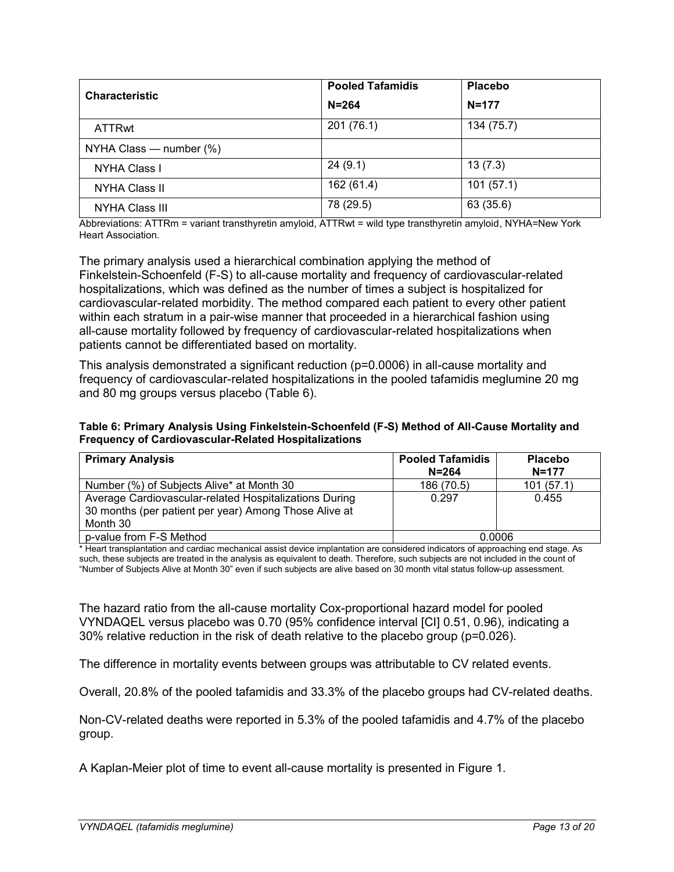| <b>Characteristic</b>        | <b>Pooled Tafamidis</b> | <b>Placebo</b> |
|------------------------------|-------------------------|----------------|
|                              | $N = 264$               | $N = 177$      |
| <b>ATTRwt</b>                | 201(76.1)               | 134 (75.7)     |
| NYHA Class $-$ number $(\%)$ |                         |                |
| <b>NYHA Class I</b>          | 24(9.1)                 | 13(7.3)        |
| NYHA Class II                | 162 (61.4)              | 101(57.1)      |
| <b>NYHA Class III</b>        | 78 (29.5)               | 63 (35.6)      |

Abbreviations: ATTRm = variant transthyretin amyloid, ATTRwt = wild type transthyretin amyloid, NYHA=New York Heart Association.

The primary analysis used a hierarchical combination applying the method of Finkelstein-Schoenfeld (F-S) to all-cause mortality and frequency of cardiovascular-related hospitalizations, which was defined as the number of times a subject is hospitalized for cardiovascular-related morbidity. The method compared each patient to every other patient within each stratum in a pair-wise manner that proceeded in a hierarchical fashion using all-cause mortality followed by frequency of cardiovascular-related hospitalizations when patients cannot be differentiated based on mortality.

This analysis demonstrated a significant reduction (p=0.0006) in all-cause mortality and frequency of cardiovascular-related hospitalizations in the pooled tafamidis meglumine 20 mg and 80 mg groups versus placebo (Table 6).

**Table 6: Primary Analysis Using Finkelstein-Schoenfeld (F-S) Method of All-Cause Mortality and Frequency of Cardiovascular-Related Hospitalizations** 

| <b>Primary Analysis</b>                                                                                                     | <b>Pooled Tafamidis</b><br>$N = 264$ | <b>Placebo</b><br>$N = 177$ |
|-----------------------------------------------------------------------------------------------------------------------------|--------------------------------------|-----------------------------|
| Number (%) of Subjects Alive* at Month 30                                                                                   | 186 (70.5)                           | 101(57.1)                   |
| Average Cardiovascular-related Hospitalizations During<br>30 months (per patient per year) Among Those Alive at<br>Month 30 | 0.297                                | 0.455                       |
| p-value from F-S Method                                                                                                     | 0.0006                               |                             |

\* Heart transplantation and cardiac mechanical assist device implantation are considered indicators of approaching end stage. As such, these subjects are treated in the analysis as equivalent to death. Therefore, such subjects are not included in the count of "Number of Subjects Alive at Month 30" even if such subjects are alive based on 30 month vital status follow-up assessment.

The hazard ratio from the all-cause mortality Cox-proportional hazard model for pooled VYNDAQEL versus placebo was 0.70 (95% confidence interval [CI] 0.51, 0.96), indicating a 30% relative reduction in the risk of death relative to the placebo group (p=0.026).

The difference in mortality events between groups was attributable to CV related events.

Overall, 20.8% of the pooled tafamidis and 33.3% of the placebo groups had CV-related deaths.

Non-CV-related deaths were reported in 5.3% of the pooled tafamidis and 4.7% of the placebo group.

A Kaplan-Meier plot of time to event all-cause mortality is presented in Figure 1.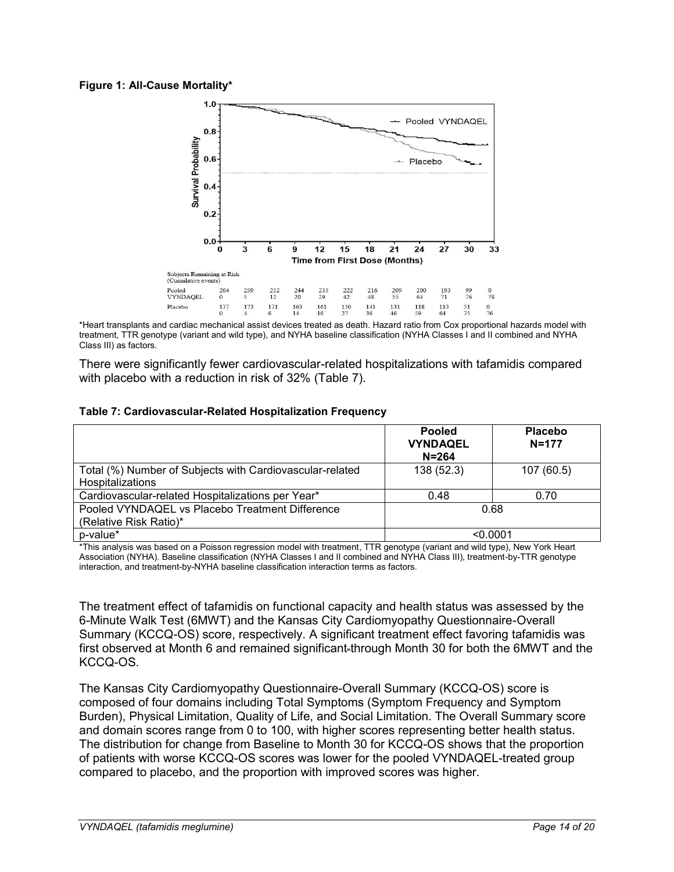#### **Figure 1: All-Cause Mortality\***



\*Heart transplants and cardiac mechanical assist devices treated as death. Hazard ratio from Cox proportional hazards model with treatment, TTR genotype (variant and wild type), and NYHA baseline classification (NYHA Classes I and II combined and NYHA Class III) as factors.

There were significantly fewer cardiovascular-related hospitalizations with tafamidis compared with placebo with a reduction in risk of 32% (Table 7).

| Table 7: Cardiovascular-Related Hospitalization Frequency |  |  |
|-----------------------------------------------------------|--|--|
|-----------------------------------------------------------|--|--|

|                                                                              | <b>Pooled</b><br><b>VYNDAQEL</b><br>$N = 264$ | <b>Placebo</b><br>$N = 177$ |
|------------------------------------------------------------------------------|-----------------------------------------------|-----------------------------|
| Total (%) Number of Subjects with Cardiovascular-related<br>Hospitalizations | 138 (52.3)                                    | 107 (60.5)                  |
| Cardiovascular-related Hospitalizations per Year*                            | 0.48                                          | 0.70                        |
| Pooled VYNDAQEL vs Placebo Treatment Difference<br>(Relative Risk Ratio)*    | 0.68                                          |                             |
| p-value*                                                                     | < 0.0001                                      |                             |

\*This analysis was based on a Poisson regression model with treatment, TTR genotype (variant and wild type), New York Heart Association (NYHA). Baseline classification (NYHA Classes I and II combined and NYHA Class III), treatment-by-TTR genotype interaction, and treatment-by-NYHA baseline classification interaction terms as factors.

The treatment effect of tafamidis on functional capacity and health status was assessed by the 6-Minute Walk Test (6MWT) and the Kansas City Cardiomyopathy Questionnaire-Overall Summary (KCCQ-OS) score, respectively. A significant treatment effect favoring tafamidis was first observed at Month 6 and remained significant-through Month 30 for both the 6MWT and the KCCQ-OS.

The Kansas City Cardiomyopathy Questionnaire-Overall Summary (KCCQ-OS) score is composed of four domains including Total Symptoms (Symptom Frequency and Symptom Burden), Physical Limitation, Quality of Life, and Social Limitation. The Overall Summary score and domain scores range from 0 to 100, with higher scores representing better health status. The distribution for change from Baseline to Month 30 for KCCQ-OS shows that the proportion of patients with worse KCCQ-OS scores was lower for the pooled VYNDAQEL-treated group compared to placebo, and the proportion with improved scores was higher.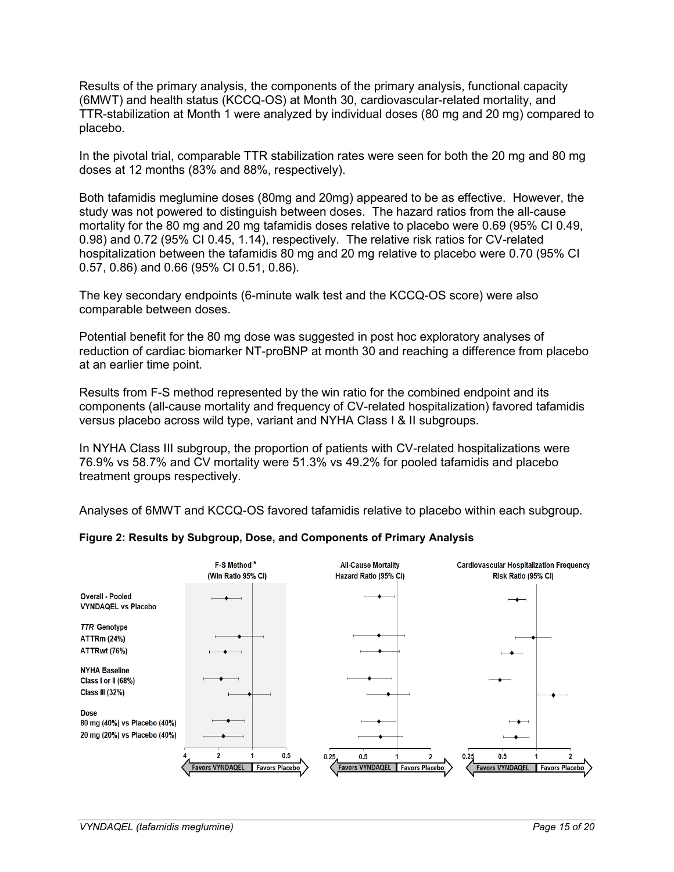Results of the primary analysis, the components of the primary analysis, functional capacity (6MWT) and health status (KCCQ-OS) at Month 30, cardiovascular-related mortality, and TTR-stabilization at Month 1 were analyzed by individual doses (80 mg and 20 mg) compared to placebo.

In the pivotal trial, comparable TTR stabilization rates were seen for both the 20 mg and 80 mg doses at 12 months (83% and 88%, respectively).

Both tafamidis meglumine doses (80mg and 20mg) appeared to be as effective. However, the study was not powered to distinguish between doses. The hazard ratios from the all-cause mortality for the 80 mg and 20 mg tafamidis doses relative to placebo were 0.69 (95% CI 0.49, 0.98) and 0.72 (95% CI 0.45, 1.14), respectively. The relative risk ratios for CV-related hospitalization between the tafamidis 80 mg and 20 mg relative to placebo were 0.70 (95% CI 0.57, 0.86) and 0.66 (95% CI 0.51, 0.86).

The key secondary endpoints (6-minute walk test and the KCCQ-OS score) were also comparable between doses.

Potential benefit for the 80 mg dose was suggested in post hoc exploratory analyses of reduction of cardiac biomarker NT-proBNP at month 30 and reaching a difference from placebo at an earlier time point.

Results from F-S method represented by the win ratio for the combined endpoint and its components (all-cause mortality and frequency of CV-related hospitalization) favored tafamidis versus placebo across wild type, variant and NYHA Class I & II subgroups.

In NYHA Class III subgroup, the proportion of patients with CV-related hospitalizations were 76.9% vs 58.7% and CV mortality were 51.3% vs 49.2% for pooled tafamidis and placebo treatment groups respectively.

Analyses of 6MWT and KCCQ-OS favored tafamidis relative to placebo within each subgroup.



#### **Figure 2: Results by Subgroup, Dose, and Components of Primary Analysis**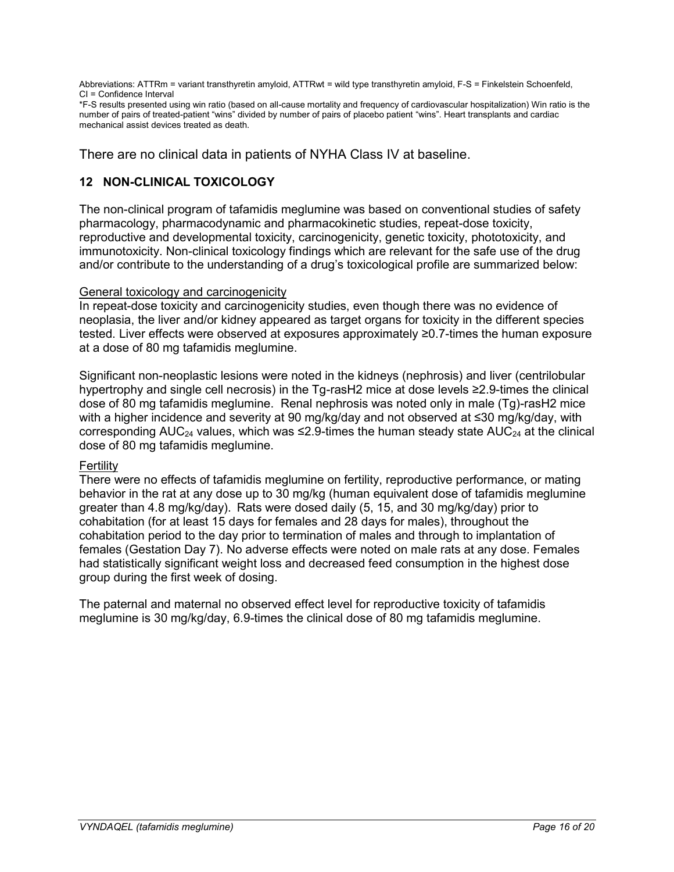Abbreviations: ATTRm = variant transthyretin amyloid, ATTRwt = wild type transthyretin amyloid, F-S = Finkelstein Schoenfeld, CI = Confidence Interval

\*F-S results presented using win ratio (based on all-cause mortality and frequency of cardiovascular hospitalization) Win ratio is the number of pairs of treated-patient "wins" divided by number of pairs of placebo patient "wins". Heart transplants and cardiac mechanical assist devices treated as death.

There are no clinical data in patients of NYHA Class IV at baseline.

# <span id="page-15-0"></span>**12 NON-CLINICAL TOXICOLOGY**

The non-clinical program of tafamidis meglumine was based on conventional studies of safety pharmacology, pharmacodynamic and pharmacokinetic studies, repeat-dose toxicity, reproductive and developmental toxicity, carcinogenicity, genetic toxicity, phototoxicity, and immunotoxicity. Non-clinical toxicology findings which are relevant for the safe use of the drug and/or contribute to the understanding of a drug's toxicological profile are summarized below:

# General toxicology and carcinogenicity

In repeat-dose toxicity and carcinogenicity studies, even though there was no evidence of neoplasia, the liver and/or kidney appeared as target organs for toxicity in the different species tested. Liver effects were observed at exposures approximately ≥0.7-times the human exposure at a dose of 80 mg tafamidis meglumine.

Significant non-neoplastic lesions were noted in the kidneys (nephrosis) and liver (centrilobular hypertrophy and single cell necrosis) in the Tg-rasH2 mice at dose levels ≥2.9-times the clinical dose of 80 mg tafamidis meglumine. Renal nephrosis was noted only in male (Tg)-rasH2 mice with a higher incidence and severity at 90 mg/kg/day and not observed at ≤30 mg/kg/day, with corresponding AUC<sub>24</sub> values, which was ≤2.9-times the human steady state AUC<sub>24</sub> at the clinical dose of 80 mg tafamidis meglumine.

## Fertility

There were no effects of tafamidis meglumine on fertility, reproductive performance, or mating behavior in the rat at any dose up to 30 mg/kg (human equivalent dose of tafamidis meglumine greater than 4.8 mg/kg/day). Rats were dosed daily (5, 15, and 30 mg/kg/day) prior to cohabitation (for at least 15 days for females and 28 days for males), throughout the cohabitation period to the day prior to termination of males and through to implantation of females (Gestation Day 7). No adverse effects were noted on male rats at any dose. Females had statistically significant weight loss and decreased feed consumption in the highest dose group during the first week of dosing.

The paternal and maternal no observed effect level for reproductive toxicity of tafamidis meglumine is 30 mg/kg/day, 6.9-times the clinical dose of 80 mg tafamidis meglumine.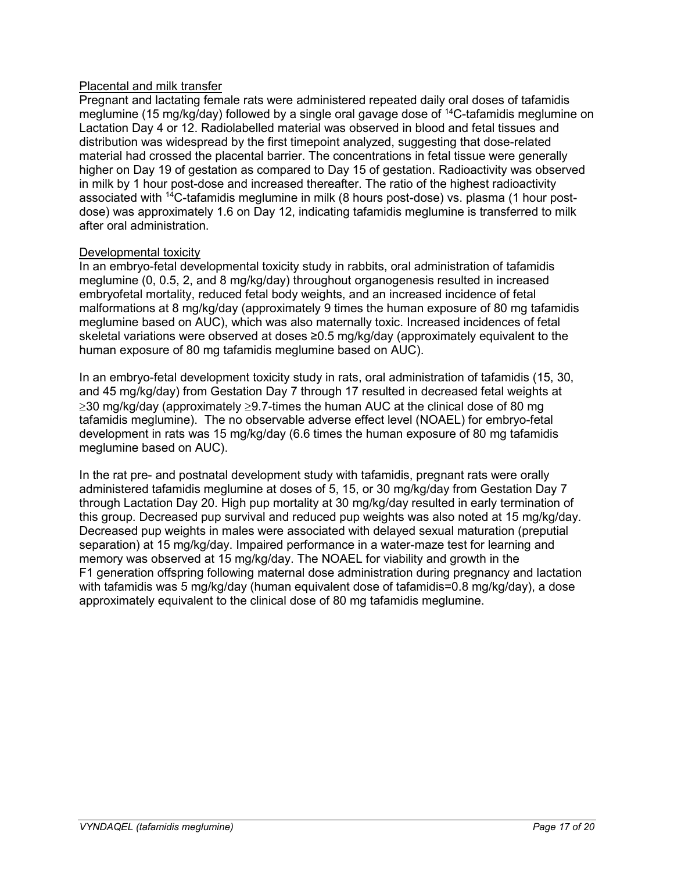# Placental and milk transfer

Pregnant and lactating female rats were administered repeated daily oral doses of tafamidis meglumine (15 mg/kg/day) followed by a single oral gavage dose of <sup>14</sup>C-tafamidis meglumine on Lactation Day 4 or 12. Radiolabelled material was observed in blood and fetal tissues and distribution was widespread by the first timepoint analyzed, suggesting that dose-related material had crossed the placental barrier. The concentrations in fetal tissue were generally higher on Day 19 of gestation as compared to Day 15 of gestation. Radioactivity was observed in milk by 1 hour post-dose and increased thereafter. The ratio of the highest radioactivity associated with 14C-tafamidis meglumine in milk (8 hours post-dose) vs. plasma (1 hour postdose) was approximately 1.6 on Day 12, indicating tafamidis meglumine is transferred to milk after oral administration.

## Developmental toxicity

In an embryo-fetal developmental toxicity study in rabbits, oral administration of tafamidis meglumine (0, 0.5, 2, and 8 mg/kg/day) throughout organogenesis resulted in increased embryofetal mortality, reduced fetal body weights, and an increased incidence of fetal malformations at 8 mg/kg/day (approximately 9 times the human exposure of 80 mg tafamidis meglumine based on AUC), which was also maternally toxic. Increased incidences of fetal skeletal variations were observed at doses ≥0.5 mg/kg/day (approximately equivalent to the human exposure of 80 mg tafamidis meglumine based on AUC).

In an embryo-fetal development toxicity study in rats, oral administration of tafamidis (15, 30, and 45 mg/kg/day) from Gestation Day 7 through 17 resulted in decreased fetal weights at  $\geq$ 30 mg/kg/day (approximately  $\geq$ 9.7-times the human AUC at the clinical dose of 80 mg tafamidis meglumine). The no observable adverse effect level (NOAEL) for embryo-fetal development in rats was 15 mg/kg/day (6.6 times the human exposure of 80 mg tafamidis meglumine based on AUC).

In the rat pre- and postnatal development study with tafamidis, pregnant rats were orally administered tafamidis meglumine at doses of 5, 15, or 30 mg/kg/day from Gestation Day 7 through Lactation Day 20. High pup mortality at 30 mg/kg/day resulted in early termination of this group. Decreased pup survival and reduced pup weights was also noted at 15 mg/kg/day. Decreased pup weights in males were associated with delayed sexual maturation (preputial separation) at 15 mg/kg/day. Impaired performance in a water-maze test for learning and memory was observed at 15 mg/kg/day. The NOAEL for viability and growth in the F1 generation offspring following maternal dose administration during pregnancy and lactation with tafamidis was 5 mg/kg/day (human equivalent dose of tafamidis=0.8 mg/kg/day), a dose approximately equivalent to the clinical dose of 80 mg tafamidis meglumine.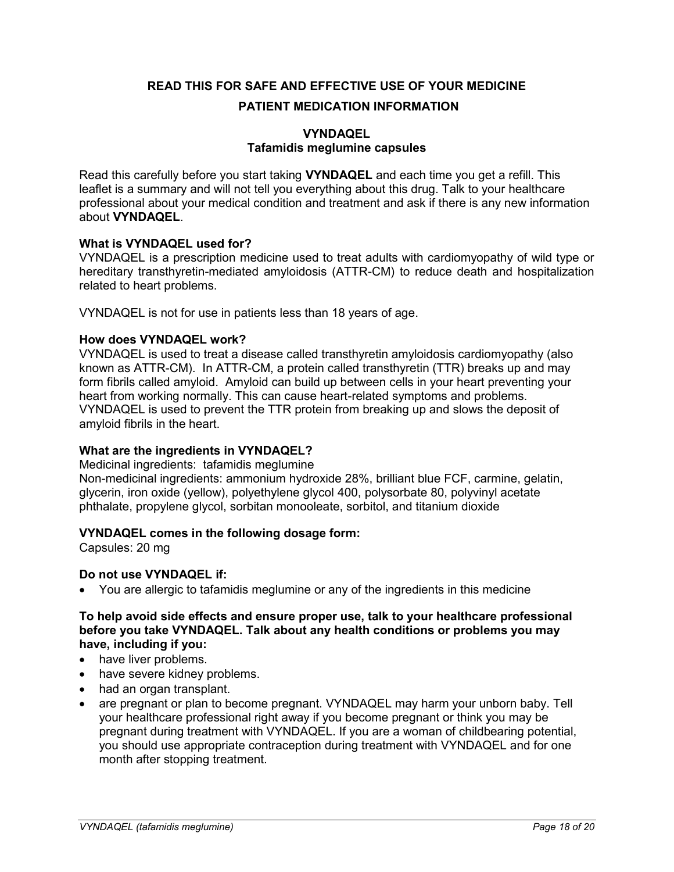<span id="page-17-0"></span>**READ THIS FOR SAFE AND EFFECTIVE USE OF YOUR MEDICINE PATIENT MEDICATION INFORMATION**

# **VYNDAQEL Tafamidis meglumine capsules**

Read this carefully before you start taking **VYNDAQEL** and each time you get a refill. This leaflet is a summary and will not tell you everything about this drug. Talk to your healthcare professional about your medical condition and treatment and ask if there is any new information about **VYNDAQEL**.

## **What is VYNDAQEL used for?**

VYNDAQEL is a prescription medicine used to treat adults with cardiomyopathy of wild type or hereditary transthyretin-mediated amyloidosis (ATTR-CM) to reduce death and hospitalization related to heart problems.

VYNDAQEL is not for use in patients less than 18 years of age.

#### **How does VYNDAQEL work?**

VYNDAQEL is used to treat a disease called transthyretin amyloidosis cardiomyopathy (also known as ATTR-CM). In ATTR-CM, a protein called transthyretin (TTR) breaks up and may form fibrils called amyloid. Amyloid can build up between cells in your heart preventing your heart from working normally. This can cause heart-related symptoms and problems. VYNDAQEL is used to prevent the TTR protein from breaking up and slows the deposit of amyloid fibrils in the heart.

## **What are the ingredients in VYNDAQEL?**

Medicinal ingredients:tafamidis meglumine

Non-medicinal ingredients: ammonium hydroxide 28%, brilliant blue FCF, carmine, gelatin, glycerin, iron oxide (yellow), polyethylene glycol 400, polysorbate 80, polyvinyl acetate phthalate, propylene glycol, sorbitan monooleate, sorbitol, and titanium dioxide

#### **VYNDAQEL comes in the following dosage form:**

Capsules: 20 mg

## **Do not use VYNDAQEL if:**

You are allergic to tafamidis meglumine or any of the ingredients in this medicine

#### **To help avoid side effects and ensure proper use, talk to your healthcare professional before you take VYNDAQEL. Talk about any health conditions or problems you may have, including if you:**

- have liver problems.
- have severe kidney problems.
- had an organ transplant.
- are pregnant or plan to become pregnant. VYNDAQEL may harm your unborn baby. Tell your healthcare professional right away if you become pregnant or think you may be pregnant during treatment with VYNDAQEL. If you are a woman of childbearing potential, you should use appropriate contraception during treatment with VYNDAQEL and for one month after stopping treatment.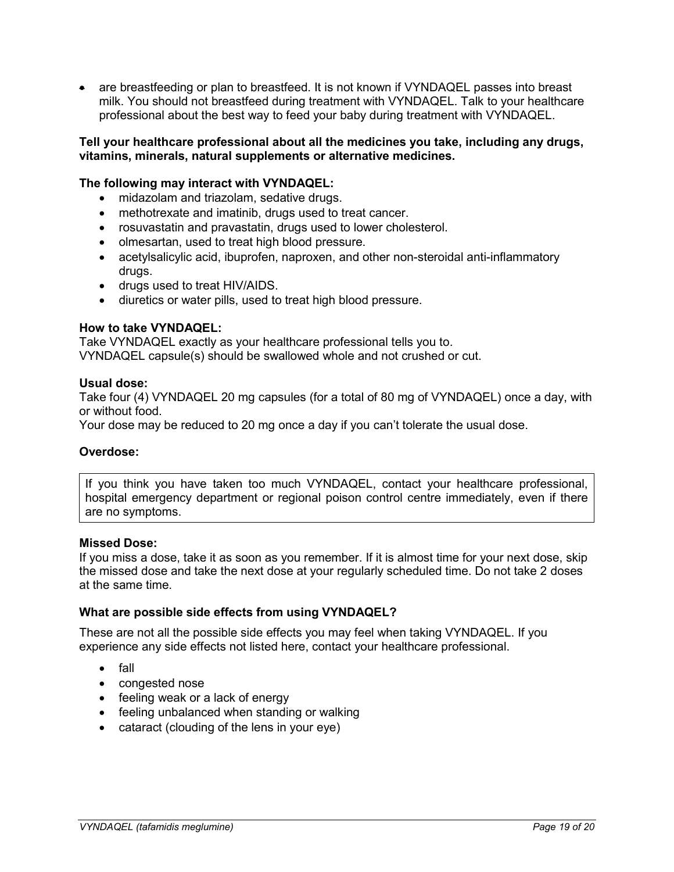are breastfeeding or plan to breastfeed. It is not known if VYNDAQEL passes into breast milk. You should not breastfeed during treatment with VYNDAQEL. Talk to your healthcare professional about the best way to feed your baby during treatment with VYNDAQEL.

#### **Tell your healthcare professional about all the medicines you take, including any drugs, vitamins, minerals, natural supplements or alternative medicines.**

#### **The following may interact with VYNDAQEL:**

- midazolam and triazolam, sedative drugs.
- methotrexate and imatinib, drugs used to treat cancer.
- rosuvastatin and pravastatin, drugs used to lower cholesterol.
- olmesartan, used to treat high blood pressure.
- acetylsalicylic acid, ibuprofen, naproxen, and other non-steroidal anti-inflammatory drugs.
- drugs used to treat HIV/AIDS.
- diuretics or water pills, used to treat high blood pressure.

#### **How to take VYNDAQEL:**

Take VYNDAQEL exactly as your healthcare professional tells you to. VYNDAQEL capsule(s) should be swallowed whole and not crushed or cut.

#### **Usual dose:**

Take four (4) VYNDAQEL 20 mg capsules (for a total of 80 mg of VYNDAQEL) once a day, with or without food.

Your dose may be reduced to 20 mg once a day if you can't tolerate the usual dose.

#### **Overdose:**

If you think you have taken too much VYNDAQEL, contact your healthcare professional, hospital emergency department or regional poison control centre immediately, even if there are no symptoms.

#### **Missed Dose:**

If you miss a dose, take it as soon as you remember. If it is almost time for your next dose, skip the missed dose and take the next dose at your regularly scheduled time. Do not take 2 doses at the same time.

#### **What are possible side effects from using VYNDAQEL?**

These are not all the possible side effects you may feel when taking VYNDAQEL. If you experience any side effects not listed here, contact your healthcare professional.

- fall
- congested nose
- feeling weak or a lack of energy
- feeling unbalanced when standing or walking
- cataract (clouding of the lens in your eye)